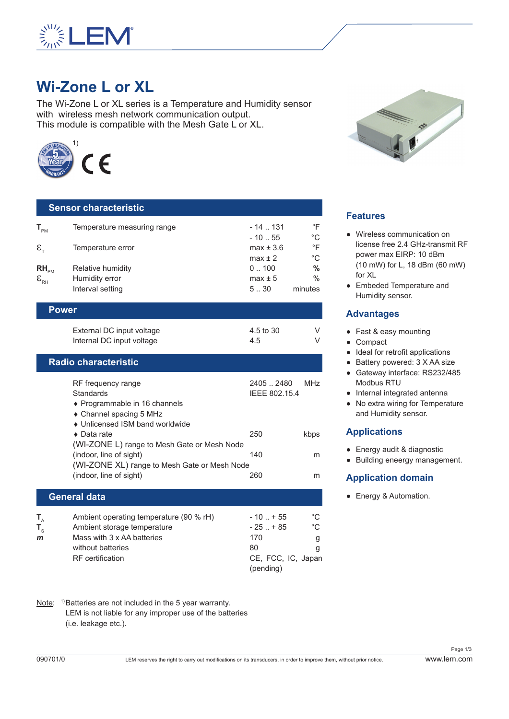

# **Wi-Zone L or XL**

The Wi-Zone L or XL series is a Temperature and Humidity sensor with wireless mesh network communication output. This module is compatible with the Mesh Gate L or XL.



| <b>Sensor characteristic</b>                                |                                                        |                           |                          |  |
|-------------------------------------------------------------|--------------------------------------------------------|---------------------------|--------------------------|--|
| $T_{\scriptscriptstyle{\sf PM}}$                            | Temperature measuring range                            | $-14$ $-131$              | °F                       |  |
| $\epsilon_{\tau}$                                           | Temperature error                                      | $-1055$<br>$max \pm 3.6$  | $^{\circ}C$<br>$\circ$ F |  |
| $RH_{\rm PM}$                                               | Relative humidity                                      | $max \pm 2$<br>0.100      | $^{\circ}C$<br>$\%$      |  |
| $\boldsymbol{\mathsf{E}}_{\scriptscriptstyle{\mathsf{RH}}}$ | Humidity error<br>Interval setting                     | $max \pm 5$<br>530        | $\%$<br>minutes          |  |
| <b>Power</b>                                                |                                                        |                           |                          |  |
|                                                             | External DC input voltage<br>Internal DC input voltage | 4.5 to 30<br>4.5          | V<br>V                   |  |
| <b>Radio characteristic</b>                                 |                                                        |                           |                          |  |
|                                                             | RF frequency range<br><b>Standards</b>                 | 24052480<br>IEEE 802.15.4 | <b>MHz</b>               |  |

| ♦ Programmable in 16 channels                |     |      |
|----------------------------------------------|-----|------|
| • Channel spacing 5 MHz                      |     |      |
| • Unlicensed ISM band worldwide              |     |      |
| $\bullet$ Data rate                          | 250 | kbps |
| (WI-ZONE L) range to Mesh Gate or Mesh Node  |     |      |
| (indoor, line of sight)                      | 140 | m    |
| (WI-ZONE XL) range to Mesh Gate or Mesh Node |     |      |
| (indoor, line of sight)                      | 260 | m    |
|                                              |     |      |

#### **General data**

| т.           | Ambient operating temperature (90 % rH) | $-10$ $+55$        | °C |
|--------------|-----------------------------------------|--------------------|----|
|              | Ambient storage temperature             | $-25$ $+85$        | °C |
| $\mathbf{m}$ | Mass with 3 x AA batteries              | 170                |    |
|              | without batteries                       | 80                 |    |
|              | <b>RF</b> certification                 | CE, FCC, IC, Japan |    |
|              |                                         | (pending)          |    |

Note: <sup>1)</sup>Batteries are not included in the 5 year warranty. LEM is not liable for any improper use of the batteries (i.e. leakage etc.).



## **Features**

- Wireless communication on license free 2.4 GHz-transmit RF power max EIRP: 10 dBm (10 mW) for L, 18 dBm (60 mW) for XL
- Embeded Temperature and Humidity sensor.

#### **Advantages**

- Fast & easy mounting
- Compact
- Ideal for retrofit applications
- Battery powered: 3 X AA size
- Gateway interface: RS232/485 Modbus RTU
- Internal integrated antenna
- No extra wiring for Temperature and Humidity sensor.

## **Applications**

- Energy audit & diagnostic
- Building eneergy management.

## **Application domain**

● Energy & Automation.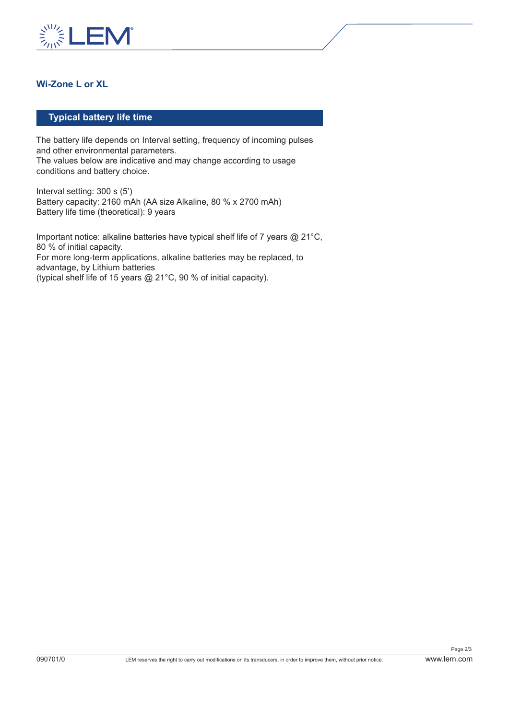

# **Wi-Zone L or XL**

### **Typical battery life time**

The battery life depends on Interval setting, frequency of incoming pulses and other environmental parameters. The values below are indicative and may change according to usage conditions and battery choice.

Interval setting: 300 s (5') Battery capacity: 2160 mAh (AA size Alkaline, 80 % x 2700 mAh) Battery life time (theoretical): 9 years

Important notice: alkaline batteries have typical shelf life of 7 years @ 21°C, 80 % of initial capacity. For more long-term applications, alkaline batteries may be replaced, to advantage, by Lithium batteries (typical shelf life of 15 years @ 21°C, 90 % of initial capacity).